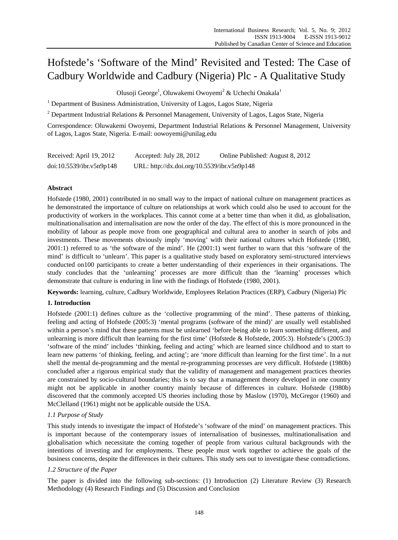# Hofstede's 'Software of the Mind' Revisited and Tested: The Case of Cadbury Worldwide and Cadbury (Nigeria) Plc - A Qualitative Study

Olusoji George<sup>1</sup>, Oluwakemi Owoyemi<sup>2</sup> & Uchechi Onakala<sup>1</sup>

<sup>1</sup> Department of Business Administration, University of Lagos, Lagos State, Nigeria

<sup>2</sup> Department Industrial Relations & Personnel Management, University of Lagos, Lagos State, Nigeria

Correspondence: Oluwakemi Owoyemi, Department Industrial Relations & Personnel Management, University of Lagos, Lagos State, Nigeria. E-mail: oowoyemi@unilag.edu

| Received: April 19, 2012 | Accepted: July 28, 2012                     | Online Published: August 8, 2012 |
|--------------------------|---------------------------------------------|----------------------------------|
| doi:10.5539/ibr.v5n9p148 | URL: http://dx.doi.org/10.5539/ibr.v5n9p148 |                                  |

# **Abstract**

Hofstede (1980, 2001) contributed in no small way to the impact of national culture on management practices as he demonstrated the importance of culture on relationships at work which could also be used to account for the productivity of workers in the workplaces. This cannot come at a better time than when it did, as globalisation, multinationalisation and internalisation are now the order of the day. The effect of this is more pronounced in the mobility of labour as people move from one geographical and cultural area to another in search of jobs and investments. These movements obviously imply 'moving' with their national cultures which Hofstede (1980, 2001:1) referred to as 'the software of the mind'. He (2001:1) went further to warn that this 'software of the mind' is difficult to 'unlearn'. This paper is a qualitative study based on exploratory semi-structured interviews conducted on100 participants to create a better understanding of their experiences in their organisations. The study concludes that the 'unlearning' processes are more difficult than the 'learning' processes which demonstrate that culture is enduring in line with the findings of Hofstede (1980, 2001).

**Keywords:** learning, culture, Cadbury Worldwide, Employees Relation Practices (ERP), Cadbury (Nigeria) Plc

# **1. Introduction**

Hofstede (2001:1) defines culture as the 'collective programming of the mind'. These patterns of thinking, feeling and acting of Hofstede (2005:3) 'mental programs (software of the mind)' are usually well established within a person's mind that these patterns must be unlearned 'before being able to learn something different, and unlearning is more difficult than learning for the first time' (Hofstede & Hofstede, 2005:3). Hofstede's (2005:3) 'software of the mind' includes 'thinking, feeling and acting' which are learned since childhood and to start to learn new patterns 'of thinking, feeling, and acting'; are 'more difficult than learning for the first time'. In a nut shell the mental de-programming and the mental re-programming processes are very difficult. Hofstede (1980b) concluded after a rigorous empirical study that the validity of management and management practices theories are constrained by socio-cultural boundaries; this is to say that a management theory developed in one country might not be applicable in another country mainly because of differences in culture. Hofstede (1980b) discovered that the commonly accepted US theories including those by Maslow (1970), McGregor (1960) and McClelland (1961) might not be applicable outside the USA.

# *1.1 Purpose of Study*

This study intends to investigate the impact of Hofstede's 'software of the mind' on management practices. This is important because of the contemporary issues of internalisation of businesses, multinationalisation and globalisation which necessitate the coming together of people from various cultural backgrounds with the intentions of investing and for employments. These people must work together to achieve the goals of the business concerns, despite the differences in their cultures. This study sets out to investigate these contradictions.

# *1.2 Structure of the Paper*

The paper is divided into the following sub-sections: (1) Introduction (2) Literature Review (3) Research Methodology (4) Research Findings and (5) Discussion and Conclusion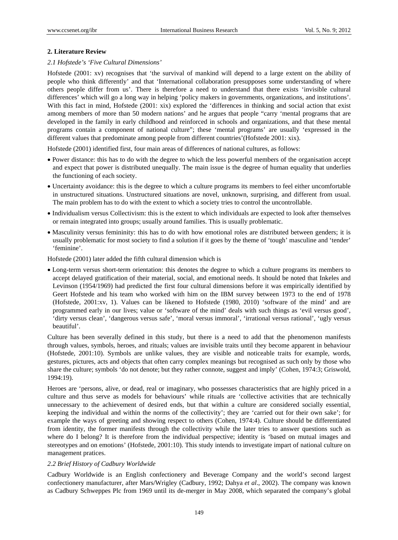# **2. Literature Review**

# *2.1 Hofstede's 'Five Cultural Dimensions'*

Hofstede (2001: xv) recognises that 'the survival of mankind will depend to a large extent on the ability of people who think differently' and that 'International collaboration presupposes some understanding of where others people differ from us'. There is therefore a need to understand that there exists 'invisible cultural differences' which will go a long way in helping 'policy makers in governments, organizations, and institutions'. With this fact in mind, Hofstede (2001: xix) explored the 'differences in thinking and social action that exist among members of more than 50 modern nations' and he argues that people "carry 'mental programs that are developed in the family in early childhood and reinforced in schools and organizations, and that these mental programs contain a component of national culture"; these 'mental programs' are usually 'expressed in the different values that predominate among people from different countries'(Hofstede 2001: xix).

Hofstede (2001) identified first, four main areas of differences of national cultures, as follows:

- Power distance: this has to do with the degree to which the less powerful members of the organisation accept and expect that power is distributed unequally. The main issue is the degree of human equality that underlies the functioning of each society.
- Uncertainty avoidance: this is the degree to which a culture programs its members to feel either uncomfortable in unstructured situations. Unstructured situations are novel, unknown, surprising, and different from usual. The main problem has to do with the extent to which a society tries to control the uncontrollable.
- Individualism versus Collectivism: this is the extent to which individuals are expected to look after themselves or remain integrated into groups; usually around families. This is usually problematic.
- Masculinity versus femininity: this has to do with how emotional roles are distributed between genders; it is usually problematic for most society to find a solution if it goes by the theme of 'tough' masculine and 'tender' 'feminine'.

Hofstede (2001) later added the fifth cultural dimension which is

 Long-term versus short-term orientation: this denotes the degree to which a culture programs its members to accept delayed gratification of their material, social, and emotional needs. It should be noted that Inkeles and Levinson (1954/1969) had predicted the first four cultural dimensions before it was empirically identified by Geert Hofstede and his team who worked with him on the IBM survey between 1973 to the end of 1978 (Hofstede, 2001:xv, 1). Values can be likened to Hofstede (1980, 2010) 'software of the mind' and are programmed early in our lives; value or 'software of the mind' deals with such things as 'evil versus good', 'dirty versus clean', 'dangerous versus safe', 'moral versus immoral', 'irrational versus rational', 'ugly versus beautiful'.

Culture has been severally defined in this study, but there is a need to add that the phenomenon manifests through values, symbols, heroes, and rituals; values are invisible traits until they become apparent in behaviour (Hofstede, 2001:10). Symbols are unlike values, they are visible and noticeable traits for example, words, gestures, pictures, acts and objects that often carry complex meanings but recognised as such only by those who share the culture; symbols 'do not denote; but they rather connote, suggest and imply' (Cohen, 1974:3; Griswold, 1994:19).

Heroes are 'persons, alive, or dead, real or imaginary, who possesses characteristics that are highly priced in a culture and thus serve as models for behaviours' while rituals are 'collective activities that are technically unnecessary to the achievement of desired ends, but that within a culture are considered socially essential, keeping the individual and within the norms of the collectivity'; they are 'carried out for their own sake'; for example the ways of greeting and showing respect to others (Cohen, 1974:4). Culture should be differentiated from identity, the former manifests through the collectivity while the later tries to answer questions such as where do I belong? It is therefore from the individual perspective; identity is 'based on mutual images and stereotypes and on emotions' (Hofstede, 2001:10). This study intends to investigate impart of national culture on management pratices.

# *2.2 Brief History of Cadbury Worldwide*

Cadbury Worldwide is an English confectionery and Beverage Company and the world's second largest confectionery manufacturer, after Mars/Wrigley (Cadbury, 1992; Dahya *et al*., 2002). The company was known as Cadbury Schweppes Plc from 1969 until its de-merger in May 2008, which separated the company's global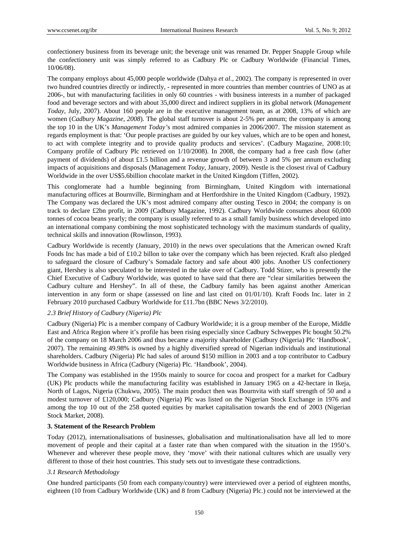confectionery business from its beverage unit; the beverage unit was renamed Dr. Pepper Snapple Group while the confectionery unit was simply referred to as Cadbury Plc or Cadbury Worldwide (Financial Times, 10/06/08).

The company employs about 45,000 people worldwide (Dahya *et al.*, 2002). The company is represented in over two hundred countries directly or indirectly, - represented in more countries than member countries of UNO as at 2006-, but with manufacturing facilities in only 60 countries - with business interests in a number of packaged food and beverage sectors and with about 35,000 direct and indirect suppliers in its global network (*Management Today*, July, 2007). About 160 people are in the executive management team, as at 2008, 13% of which are women (*Cadbury Magazine*, *2008*). The global staff turnover is about 2-5% per annum; the company is among the top 10 in the UK's *Management Today'*s most admired companies in 2006/2007. The mission statement as regards employment is that: 'Our people practises are guided by our key values, which are to be open and honest, to act with complete integrity and to provide quality products and services'. (Cadbury Magazine, 2008:10; Company profile of Cadbury Plc retrieved on 1/10/2008). In 2008, the company had a free cash flow (after payment of dividends) of about £1.5 billion and a revenue growth of between 3 and 5% per annum excluding impacts of acquisitions and disposals (Management *Today*, January, 2009). Nestle is the closest rival of Cadbury Worldwide in the over US\$5.6billion chocolate market in the United Kingdom (Tiffen, 2002).

This conglomerate had a humble beginning from Birmingham, United Kingdom with international manufacturing offices at Bournville, Birmingham and at Hertfordshire in the United Kingdom (Cadbury, 1992). The Company was declared the UK's most admired company after ousting Tesco in 2004; the company is on track to declare £2bn profit, in 2009 (Cadbury Magazine, 1992). Cadbury Worldwide consumes about 60,000 tonnes of cocoa beans yearly; the company is usually referred to as a small family business which developed into an international company combining the most sophisticated technology with the maximum standards of quality, technical skills and innovation (Rowlinson, 1993).

Cadbury Worldwide is recently (January, 2010) in the news over speculations that the American owned Kraft Foods Inc has made a bid of £10.2 billon to take over the company which has been rejected. Kraft also pledged to safeguard the closure of Cadbury's Somadale factory and safe about 400 jobs. Another US confectionery giant, Hershey is also speculated to be interested in the take over of Cadbury. Todd Stizer, who is presently the Chief Executive of Cadbury Worldwide, was quoted to have said that there are "clear similarities between the Cadbury culture and Hershey". In all of these, the Cadbury family has been against another American intervention in any form or shape (assessed on line and last cited on 01/01/10). Kraft Foods Inc. later in 2 February 2010 purchased Cadbury Worldwide for £11.7bn (BBC News 3/2/2010).

# *2.3 Brief History of Cadbury (Nigeria) Plc*

Cadbury (Nigeria) Plc is a member company of Cadbury Worldwide; it is a group member of the Europe, Middle East and Africa Region where it's profile has been rising especially since Cadbury Schweppes Plc bought 50.2% of the company on 18 March 2006 and thus became a majority shareholder (Cadbury (Nigeria) Plc 'Handbook', 2007). The remaining 49.98% is owned by a highly diversified spread of Nigerian individuals and institutional shareholders. Cadbury (Nigeria) Plc had sales of around \$150 million in 2003 and a top contributor to Cadbury Worldwide business in Africa (Cadbury (Nigeria) Plc. 'Handbook', 2004).

The Company was established in the 1950s mainly to source for cocoa and prospect for a market for Cadbury (UK) Plc products while the manufacturing facility was established in January 1965 on a 42-hectare in Ikeja, North of Lagos, Nigeria (Chukwu, 2005). The main product then was Bournvita with staff strength of 50 and a modest turnover of £120,000; Cadbury (Nigeria) Plc was listed on the Nigerian Stock Exchange in 1976 and among the top 10 out of the 258 quoted equities by market capitalisation towards the end of 2003 (Nigerian Stock Market, 2008).

# **3. Statement of the Research Problem**

Today (2012), internationalisations of businesses, globalisation and multinationalisation have all led to more movement of people and their capital at a faster rate than when compared with the situation in the 1950's. Whenever and wherever these people move, they 'move' with their national cultures which are usually very different to those of their host countries. This study sets out to investigate these contradictions.

# *3.1 Research Methodology*

One hundred participants (50 from each company/country) were interviewed over a period of eighteen months, eighteen (10 from Cadbury Worldwide (UK) and 8 from Cadbury (Nigeria) Plc.) could not be interviewed at the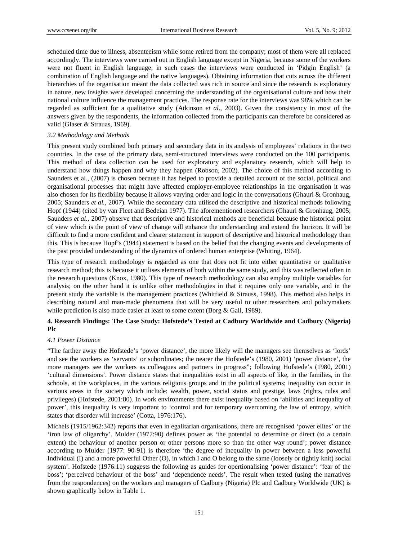scheduled time due to illness, absenteeism while some retired from the company; most of them were all replaced accordingly. The interviews were carried out in English language except in Nigeria, because some of the workers were not fluent in English language; in such cases the interviews were conducted in 'Pidgin English' (a combination of English language and the native languages). Obtaining information that cuts across the different hierarchies of the organisation meant the data collected was rich in source and since the research is exploratory in nature, new insights were developed concerning the understanding of the organisational culture and how their national culture influence the management practices. The response rate for the interviews was 98% which can be regarded as sufficient for a qualitative study (Atkinson *et al*., 2003). Given the consistency in most of the answers given by the respondents, the information collected from the participants can therefore be considered as valid (Glaser & Strauas, 1969).

## *3.2 Methodology and Methods*

This present study combined both primary and secondary data in its analysis of employees' relations in the two countries. In the case of the primary data, semi-structured interviews were conducted on the 100 participants. This method of data collection can be used for exploratory and explanatory research, which will help to understand how things happen and why they happen (Robson, 2002). The choice of this method according to Saunders et al., (2007) is chosen because it has helped to provide a detailed account of the social, political and organisational processes that might have affected employer-employee relationships in the organisation it was also chosen for its flexibility because it allows varying order and logic in the conversations (Ghauri & Gronhaug, 2005; Saunders *et al.,* 2007). While the secondary data utilised the descriptive and historical methods following Hopf (1944) (cited by van Fleet and Bedeian 1977). The aforementioned researchers (Ghauri & Gronhaug, 2005; Saunders *et al.,* 2007) observe that descriptive and historical methods are beneficial because the historical point of view which is the point of view of change will enhance the understanding and extend the horizon. It will be difficult to find a more confident and clearer statement in support of descriptive and historical methodology than this. This is because Hopf's (1944) statement is based on the belief that the changing events and developments of the past provided understanding of the dynamics of ordered human enterprise (Whiting, 1964).

This type of research methodology is regarded as one that does not fit into either quantitative or qualitative research method; this is because it utilises elements of both within the same study, and this was reflected often in the research questions (Knox, 1980). This type of research methodology can also employ multiple variables for analysis; on the other hand it is unlike other methodologies in that it requires only one variable, and in the present study the variable is the management practices (Whitfield & Strauss, 1998). This method also helps in describing natural and man-made phenomena that will be very useful to other researchers and policymakers while prediction is also made easier at least to some extent (Borg & Gall, 1989).

# **4. Research Findings: The Case Study: Hofstede's Tested at Cadbury Worldwide and Cadbury (Nigeria) Plc**

# *4.1 Power Distance*

"The farther away the Hofstede's 'power distance', the more likely will the managers see themselves as 'lords' and see the workers as 'servants' or subordinates; the nearer the Hofstede's (1980, 2001) 'power distance', the more managers see the workers as colleagues and partners in progress"; following Hofstede's (1980, 2001) 'cultural dimensions'. Power distance states that inequalities exist in all aspects of like, in the families, in the schools, at the workplaces, in the various religious groups and in the political systems; inequality can occur in various areas in the society which include: wealth, power, social status and prestige, laws (rights, rules and privileges) (Hofstede, 2001:80). In work environments there exist inequality based on 'abilities and inequality of power', this inequality is very important to 'control and for temporary overcoming the law of entropy, which states that disorder will increase' (Cotta, 1976:176).

Michels (1915/1962:342) reports that even in egalitarian organisations, there are recognised 'power elites' or the 'iron law of oligarchy'. Mulder (1977:90) defines power as 'the potential to determine or direct (to a certain extent) the behaviour of another person or other persons more so than the other way round'; power distance according to Mulder (1977: 90-91) is therefore 'the degree of inequality in power between a less powerful Individual (I) and a more powerful Other (O), in which I and O belong to the same (loosely or tightly knit) social system'. Hofstede (1976:11) suggests the following as guides for opertionalising 'power distance': 'fear of the boss'; 'perceived behaviour of the boss' and 'dependence needs'. The result when tested (using the narratives from the respondences) on the workers and managers of Cadbury (Nigeria) Plc and Cadbury Worldwide (UK) is shown graphically below in Table 1.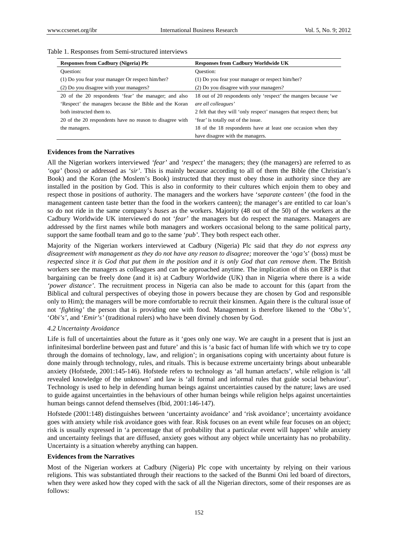| <b>Responses from Cadbury (Nigeria) Plc</b>              | <b>Responses from Cadbury Worldwide UK</b>                           |  |
|----------------------------------------------------------|----------------------------------------------------------------------|--|
| Question:                                                | Ouestion:                                                            |  |
| (1) Do you fear your manager Or respect him/her?         | (1) Do you fear your manager or respect him/her?                     |  |
| (2) Do you disagree with your managers?                  | (2) Do you disagree with your managers?                              |  |
| 20 of the 20 respondents 'fear' the manager; and also    | 18 out of 20 respondents only 'respect' the mangers because 'we      |  |
| 'Respect' the managers because the Bible and the Koran   | are all colleagues'                                                  |  |
| both instructed them to.                                 | 2 felt that they will 'only respect' managers that respect them; but |  |
| 20 of the 20 respondents have no reason to disagree with | 'fear' is totally out of the issue.                                  |  |
| the managers.                                            | 18 of the 18 respondents have at least one occasion when they        |  |
|                                                          | have disagree with the managers.                                     |  |

#### Table 1. Responses from Semi-structured interviews

#### **Evidences from the Narratives**

All the Nigerian workers interviewed *'fear'* and *'respect'* the managers; they (the managers) are referred to as *'oga'* (boss) or addressed as *'sir'*. This is mainly because according to all of them the Bible (the Christian's Book) and the Koran (the Moslem's Book) instructed that they must obey those in authority since they are installed in the position by God. This is also in conformity to their cultures which enjoin them to obey and respect those in positions of authority. The managers and the workers have '*separate canteen'* (the food in the management canteen taste better than the food in the workers canteen); the manager's are entitled to car loan's so do not ride in the same company's *buses* as the workers. Majority (48 out of the 50) of the workers at the Cadbury Worldwide UK interviewed do not '*fear'* the managers but do respect the managers. Managers are addressed by the first names while both managers and workers occasional belong to the same political party, support the same football team and go to the same '*pub'*. They both respect each other.

Majority of the Nigerian workers interviewed at Cadbury (Nigeria) Plc said that *they do not express any disagreement with management as they do not have any reason to disagree;* moreover the '*oga's*' (boss) must be *respected since it is God that put them in the position and it is only God that can remove them*. The British workers see the managers as colleagues and can be approached anytime. The implication of this on ERP is that bargaining can be freely done (and it is) at Cadbury Worldwide (UK) than in Nigeria where there is a wide *'power distance'*. The recruitment process in Nigeria can also be made to account for this (apart from the Biblical and cultural perspectives of obeying those in powers because they are chosen by God and responsible only to Him); the managers will be more comfortable to recruit their kinsmen. Again there is the cultural issue of not '*fighting'* the person that is providing one with food. Management is therefore likened to the *'Oba's'*, '*Obi's'*, and '*Emir's'* (traditional rulers) who have been divinely chosen by God.

#### *4.2 Uncertainty Avoidance*

Life is full of uncertainties about the future as it 'goes only one way. We are caught in a present that is just an infinitesimal borderline between past and future' and this is 'a basic fact of human life with which we try to cope through the domains of technology, law, and religion'; in organisations coping with uncertainty about future is done mainly through technology, rules, and rituals. This is because extreme uncertainty brings about unbearable anxiety (Hofstede, 2001:145-146). Hofstede refers to technology as 'all human artefacts', while religion is 'all revealed knowledge of the unknown' and law is 'all formal and informal rules that guide social behaviour'. Technology is used to help in defending human beings against uncertainties caused by the nature; laws are used to guide against uncertainties in the behaviours of other human beings while religion helps against uncertainties human beings cannot defend themselves (Ibid, 2001:146-147).

Hofstede (2001:148) distinguishes between 'uncertainty avoidance' and 'risk avoidance'; uncertainty avoidance goes with anxiety while risk avoidance goes with fear. Risk focuses on an event while fear focuses on an object; risk is usually expressed in 'a percentage that of probability that a particular event will happen' while anxiety and uncertainty feelings that are diffused, anxiety goes without any object while uncertainty has no probability. Uncertainty is a situation whereby anything can happen.

#### **Evidences from the Narratives**

Most of the Nigerian workers at Cadbury (Nigeria) Plc cope with uncertainty by relying on their various religions. This was substantiated through their reactions to the sacked of the Bunmi Oni led board of directors, when they were asked how they coped with the sack of all the Nigerian directors, some of their responses are as follows: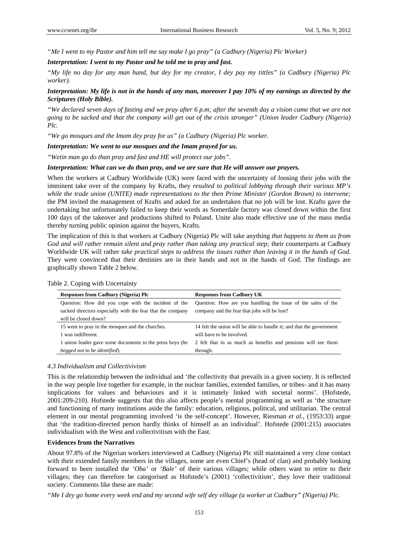*"Me I went to my Pastor and him tell me say make I go pray" (a Cadbury (Nigeria) Plc Worker)* 

# *Interpretation: I went to my Pastor and he told me to pray and fast.*

*"My life no day for any man hand, but dey for my creator, I dey pay my tittles" (a Cadbury (Nigeria) Plc worker).* 

# *Interpretation: My life is not in the hands of any man, moreover I pay 10% of my earnings as directed by the Scriptures (Holy Bible).*

*"We declared seven days of fasting and we pray after 6 p.m; after the seventh day a vision came that we are not going to be sacked and that the company will get out of the crisis stronger" (Union leader Cadbury (Nigeria) Plc.* 

*"We go mosques and the Imam dey pray for us" (a Cadbury (Nigeria) Plc worker.* 

#### *Interpretation: We went to our mosques and the Imam prayed for us.*

*"Wetin man go do than pray and fast and HE will protect our jobs".* 

# *Interpretation: What can we do than pray, and we are sure that He will answer our prayers.*

When the workers at Cadbury Worldwide (UK) were faced with the uncertainty of loosing their jobs with the imminent take over of the company by Krafts, they *resulted to political lobbying through their various MP's while the trade union (UNITE) made representations to the then Prime Minister (Gordon Brown) to intervene;*  the PM invited the management of Krafts and asked for an undertaken that no job will be lost. Krafts gave the undertaking but unfortunately failed to keep their words as Somerdale factory was closed down within the first 100 days of the takeover and productions shifted to Poland. Unite also made effective use of the mass media thereby turning public opinion against the buyers, Krafts.

The implication of this is that workers at Cadbury (Nigeria) Plc will take anything *that happens to them as from God and will rather remain silent and pray rather than taking any practical step;* their counterparts at Cadbury Worldwide UK will rather *take practical steps to address the issues rather than leaving it in the hands of God.* They were convinced that their destinies are in their hands and not in the hands of God. The findings are graphically shown Table 2 below.

| <b>Responses from Cadbury (Nigeria) Plc</b>                                                                       | <b>Responses from Cadbury UK</b>                                                                             |  |
|-------------------------------------------------------------------------------------------------------------------|--------------------------------------------------------------------------------------------------------------|--|
| Question: How did you cope with the incident of the<br>sacked directors especially with the fear that the company | Question: How are you handling the issue of the sales of the<br>company and the fear that jobs will be lost? |  |
| will be closed down?                                                                                              |                                                                                                              |  |
| 15 went to pray in the mosques and the churches.                                                                  | 14 felt the union will be able to handle it; and that the government                                         |  |
| 1 was indifferent.                                                                                                | will have to be involved.                                                                                    |  |
| 1 union leader gave some documents to the press boys (he                                                          | 2 felt that in as much as benefits and pensions will see them                                                |  |
| begged not to be identified).                                                                                     | through.                                                                                                     |  |

# Table 2. Coping with Uncertainty

# *4.3 Individualism and Collectivivism*

This is the relationship between the individual and 'the collectivity that prevails in a given society. It is reflected in the way people live together for example, in the nuclear families, extended families, or tribes- and it has many implications for values and behaviours and it is intimately linked with societal norms'. (Hofstede, 2001:209-210). Hofstede suggests that this also affects people's mental programming as well as 'the structure and functioning of many institutions aside the family: education, religious, political, and utilitarian. The central element in our mental programming involved 'is the self-concept'. However, Riesman *et al*., (1953:33) argue that 'the tradition-directed person hardly thinks of himself as an individual'. Hofstede (2001:215) associates individualism with the West and collectivitism with the East.

#### **Evidences from the Narratives**

About 97.8% of the Nigerian workers interviewed at Cadbury (Nigeria) Plc still maintained a very close contact with their extended family members in the villages, some are even Chief's (head of clan) and probably looking forward to been installed the *'Oba'* or *'Bale'* of their various villages; while others want to retire to their villages; they can therefore be categorised as Hofstede's (2001) 'collectivitism', they love their traditional society. Comments like these are made:

*"Me I dey go home every week end and my second wife self dey village (a worker at Cadbury" (Nigeria) Plc.*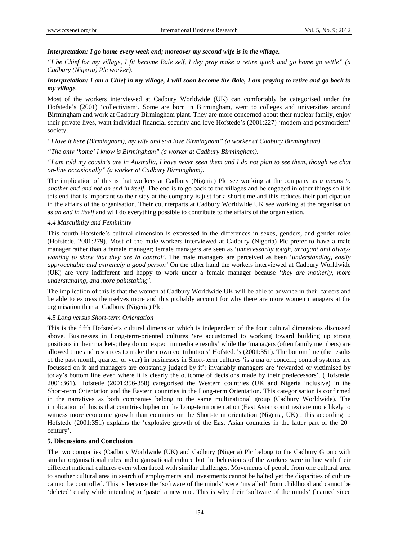# *Interpretation: I go home every week end; moreover my second wife is in the village.*

*"I be Chief for my village, I fit become Bale self, I dey pray make a retire quick and go home go settle" (a Cadbury (Nigeria) Plc worker).* 

# *Interpretation: I am a Chief in my village, I will soon become the Bale, I am praying to retire and go back to my village.*

Most of the workers interviewed at Cadbury Worldwide (UK) can comfortably be categorised under the Hofstede's (2001) 'collectivism'. Some are born in Birmingham, went to colleges and universities around Birmingham and work at Cadbury Birmingham plant. They are more concerned about their nuclear family, enjoy their private lives, want individual financial security and love Hofstede's (2001:227) 'modern and postmordern' society.

*"I love it here (Birmingham), my wife and son love Birmingham" (a worker at Cadbury Birmingham).* 

*"The only 'home' I know is Birmingham" (a worker at Cadbury Birmingham).* 

*"I am told my cousin's are in Australia, I have never seen them and I do not plan to see them, though we chat on-line occasionally" (a worker at Cadbury Birmingham).* 

The implication of this is that workers at Cadbury (Nigeria) Plc see working at the company as *a means to another end and not an end in itself*. The end is to go back to the villages and be engaged in other things so it is this end that is important so their stay at the company is just for a short time and this reduces their participation in the affairs of the organisation. Their counterparts at Cadbury Worldwide UK see working at the organisation as *an end in itself* and will do everything possible to contribute to the affairs of the organisation.

## *4.4 Masculinity and Femininity*

This fourth Hofstede's cultural dimension is expressed in the differences in sexes, genders, and gender roles (Hofstede, 2001:279). Most of the male workers interviewed at Cadbury (Nigeria) Plc prefer to have a male manager rather than a female manager; female managers are seen as '*unnecessarily tough, arrogant and always wanting to show that they are in control'.* The male managers are perceived as been '*understanding, easily approachable and extremely a good person'* On the other hand the workers interviewed at Cadbury Worldwide (UK) are very indifferent and happy to work under a female manager because '*they are motherly, more understanding, and more painstaking'*.

The implication of this is that the women at Cadbury Worldwide UK will be able to advance in their careers and be able to express themselves more and this probably account for why there are more women managers at the organisation than at Cadbury (Nigeria) Plc.

## *4.5 Long versus Short-term Orientation*

This is the fifth Hofstede's cultural dimension which is independent of the four cultural dimensions discussed above. Businesses in Long-term-oriented cultures 'are accustomed to working toward building up strong positions in their markets; they do not expect immediate results' while the 'managers (often family members) are allowed time and resources to make their own contributions' Hofstede's (2001:351). The bottom line (the results of the past month, quarter, or year) in businesses in Short-term cultures 'is a major concern; control systems are focussed on it and managers are constantly judged by it'; invariably managers are 'rewarded or victimised by today's bottom line even where it is clearly the outcome of decisions made by their predecessors'. (Hofstede, 2001:361). Hofstede (2001:356-358) categorised the Western countries (UK and Nigeria inclusive) in the Short-term Orientation and the Eastern countries in the Long-term Orientation. This categorisation is confirmed in the narratives as both companies belong to the same multinational group (Cadbury Worldwide). The implication of this is that countries higher on the Long-term orientation (East Asian countries) are more likely to witness more economic growth than countries on the Short-term orientation (Nigeria, UK) ; this according to Hofstede (2001:351) explains the 'explosive growth of the East Asian countries in the latter part of the  $20<sup>th</sup>$ century'.

## **5. Discussions and Conclusion**

The two companies (Cadbury Worldwide (UK) and Cadbury (Nigeria) Plc belong to the Cadbury Group with similar organisational rules and organisational culture but the behaviours of the workers were in line with their different national cultures even when faced with similar challenges. Movements of people from one cultural area to another cultural area in search of employments and investments cannot be halted yet the disparities of culture cannot be controlled. This is because the 'software of the minds' were 'installed' from childhood and cannot be 'deleted' easily while intending to 'paste' a new one. This is why their 'software of the minds' (learned since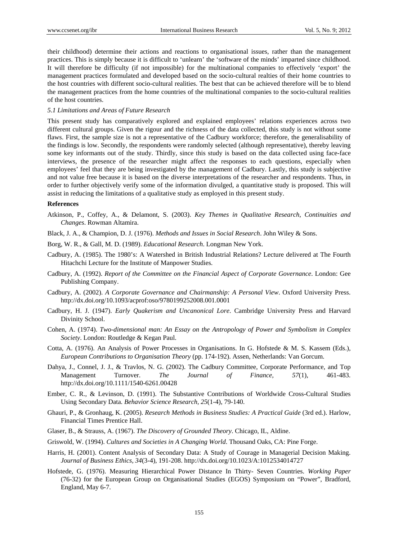their childhood) determine their actions and reactions to organisational issues, rather than the management practices. This is simply because it is difficult to 'unlearn' the 'software of the minds' imparted since childhood. It will therefore be difficulty (if not impossible) for the multinational companies to effectively 'export' the management practices formulated and developed based on the socio-cultural realties of their home countries to the host countries with different socio-cultural realities. The best that can be achieved therefore will be to blend the management practices from the home countries of the multinational companies to the socio-cultural realities of the host countries.

## *5.1 Limitations and Areas of Future Research*

This present study has comparatively explored and explained employees' relations experiences across two different cultural groups. Given the rigour and the richness of the data collected, this study is not without some flaws. First, the sample size is not a representative of the Cadbury workforce; therefore, the generalisability of the findings is low. Secondly, the respondents were randomly selected (although representative), thereby leaving some key informants out of the study. Thirdly, since this study is based on the data collected using face-face interviews, the presence of the researcher might affect the responses to each questions, especially when employees' feel that they are being investigated by the management of Cadbury. Lastly, this study is subjective and not value free because it is based on the diverse interpretations of the researcher and respondents. Thus, in order to further objectively verify some of the information divulged, a quantitative study is proposed. This will assist in reducing the limitations of a qualitative study as employed in this present study.

#### **References**

- Atkinson, P., Coffey, A., & Delamont, S. (2003). *Key Themes in Qualitative Research, Continuities and Changes*. Rowman Altamira.
- Black, J. A., & Champion, D. J. (1976). *Methods and Issues in Social Research*. John Wiley & Sons.
- Borg, W. R., & Gall, M. D. (1989). *Educational Research*. Longman New York.
- Cadbury, A. (1985). The 1980's: A Watershed in British Industrial Relations? Lecture delivered at The Fourth Hitachchi Lecture for the Institute of Manpower Studies.
- Cadbury, A. (1992). *Report of the Committee on the Financial Aspect of Corporate Governance*. London: Gee Publishing Company.
- Cadbury, A. (2002). *A Corporate Governance and Chairmanship: A Personal View*. Oxford University Press. http://dx.doi.org/10.1093/acprof:oso/9780199252008.001.0001
- Cadbury, H. J. (1947). *Early Quakerism and Uncanonical Lore*. Cambridge University Press and Harvard Divinity School.
- Cohen, A. (1974). *Two-dimensional man: An Essay on the Antropology of Power and Symbolism in Complex Society*. London: Routledge & Kegan Paul.
- Cotta, A. (1976). An Analysis of Power Processes in Organisations. In G. Hofstede & M. S. Kassem (Eds.), *European Contributions to Organisation Theory* (pp. 174-192). Assen, Netherlands: Van Gorcum.
- Dahya, J., Connel, J. J., & Travlos, N. G. (2002). The Cadbury Committee, Corporate Performance, and Top Management Turnover. *The Journal of Finance, 57*(1), 461-483. http://dx.doi.org/10.1111/1540-6261.00428
- Ember, C. R., & Levinson, D. (1991). The Substantive Contributions of Worldwide Cross-Cultural Studies Using Secondary Data. *Behavior Science Research, 25*(1-4), 79-140.
- Ghauri, P., & Gronhaug, K. (2005). *Research Methods in Business Studies: A Practical Guide* (3rd ed.). Harlow, Financial Times Prentice Hall.
- Glaser, B., & Strauss, A. (1967). *The Discovery of Grounded Theory*. Chicago, IL, Aldine.
- Griswold, W. (1994). *Cultures and Societies in A Changing World*. Thousand Oaks, CA: Pine Forge.
- Harris, H. (2001). Content Analysis of Secondary Data: A Study of Courage in Managerial Decision Making. *Journal of Business Ethics, 34*(3-4), 191-208. http://dx.doi.org/10.1023/A:1012534014727
- Hofstede, G. (1976). Measuring Hierarchical Power Distance In Thirty- Seven Countries. *Working Paper* (76-32) for the European Group on Organisational Studies (EGOS) Symposium on "Power", Bradford, England, May 6-7.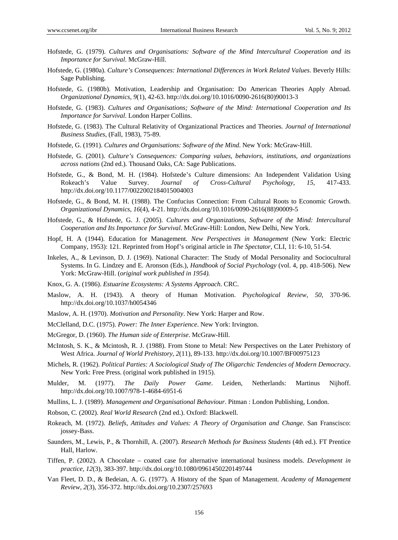- Hofstede, G. (1979). *Cultures and Organisations: Software of the Mind Intercultural Cooperation and its Importance for Survival*. McGraw-Hill.
- Hofstede, G. (1980a). *Culture's Consequences: International Differences in Work Related Values*. Beverly Hills: Sage Publishing.
- Hofstede, G. (1980b). Motivation, Leadership and Organisation: Do American Theories Apply Abroad. *Organizational Dynamics*, *9*(1), 42-63. http://dx.doi.org/10.1016/0090-2616(80)90013-3
- Hofstede, G. (1983). *Cultures and Organisations; Software of the Mind: International Cooperation and Its Importance for Survival*. London Harper Collins.
- Hofstede, G. (1983). The Cultural Relativity of Organizational Practices and Theories. *Journal of International Business Studies,* (Fall, 1983), 75-89.
- Hofstede, G. (1991). *Cultures and Organisations: Software of the Mind*. New York: McGraw-Hill.
- Hofstede, G. (2001). *Culture's Consequences: Comparing values, behaviors, institutions, and organizations across nations* (2nd ed.). Thousand Oaks, CA: Sage Publications.
- Hofstede, G., & Bond, M. H. (1984). Hofstede's Culture dimensions: An Independent Validation Using Rokeach's Value Survey. *Journal of Cross-Cultural Psychology*, *15*, 417-433. http://dx.doi.org/10.1177/0022002184015004003
- Hofstede, G., & Bond, M. H. (1988). The Confucius Connection: From Cultural Roots to Economic Growth. *Organizational Dynamics*, *16*(4), 4-21. http://dx.doi.org/10.1016/0090-2616(88)90009-5
- Hofstede, G., & Hofstede, G. J. (2005). *Cultures and Organizations, Software of the Mind: Intercultural Cooperation and Its Importance for Survival*. McGraw-Hill: London, New Delhi, New York.
- Hopf, H. A (1944). Education for Management. *New Perspectives in Management* (New York: Electric Company, 1953): 121. Reprinted from Hopf's original article in *The Spectator*, CLI, 11: 6-10, 51-54.
- Inkeles, A., & Levinson, D. J. (1969). National Character: The Study of Modal Personality and Sociocultural Systems. In G. Lindzey and E. Aronson (Eds.), *Handbook of Social Psychology* (vol. 4, pp. 418-506). New York: McGraw-Hill. (*original work published in 1954).*
- Knox, G. A. (1986). *Estuarine Ecosystems: A Systems Approach*. CRC.
- Maslow, A. H. (1943). A theory of Human Motivation. *Psychological Review, 50*, 370-96. http://dx.doi.org/10.1037/h0054346
- Maslow, A. H. (1970). *Motivation and Personality*. New York: Harper and Row.
- McClelland, D.C. (1975). *Power: The Inner Experience*. New York: Irvington.
- McGregor, D. (1960). *The Human side of Enterprise*. McGraw-Hill.
- McIntosh, S. K., & Mcintosh, R. J. (1988). From Stone to Metal: New Perspectives on the Later Prehistory of West Africa. *Journal of World Prehistory*, *2*(11), 89-133. http://dx.doi.org/10.1007/BF00975123
- Michels, R. (1962). *Political Parties: A Sociological Study of The Oligarchic Tendencies of Modern Democracy*. New York: Free Press. (original work published in 1915).
- Mulder, M. (1977). *The Daily Power Game*. Leiden, Netherlands: Martinus Nijhoff. http://dx.doi.org/10.1007/978-1-4684-6951-6
- Mullins, L. J. (1989). *Management and Organisational Behaviour*. Pitman : London Publishing, London.
- Robson, C. (2002). *Real World Research* (2nd ed.). Oxford: Blackwell.
- Rokeach, M. (1972). *Beliefs, Attitudes and Values: A Theory of Organisation and Change*. San Franscisco: jossey-Bass.
- Saunders, M., Lewis, P., & Thornhill, A. (2007). *Research Methods for Business Students* (4th ed.). FT Prentice Hall, Harlow.
- Tiffen, P. (2002). A Chocolate coated case for alternative international business models. *Development in practice, 12*(3), 383-397. http://dx.doi.org/10.1080/0961450220149744
- Van Fleet, D. D., & Bedeian, A. G. (1977). A History of the Span of Management. *Academy of Management Review, 2*(3), 356-372. http://dx.doi.org/10.2307/257693